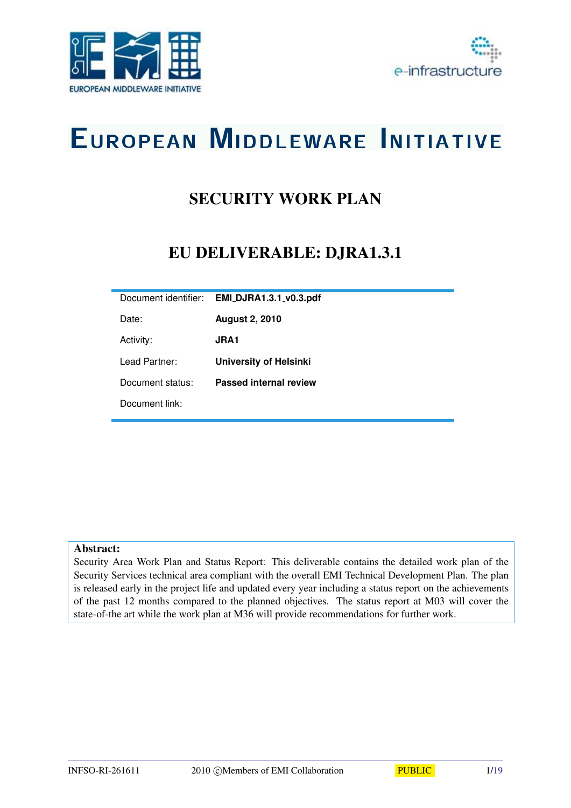



# EUROPEAN MIDDLEWARE INITIATIVE

# SECURITY WORK PLAN

# EU DELIVERABLE: DJRA1.3.1

| Document identifier: | <b>EMI_DJRA1.3.1_v0.3.pdf</b> |
|----------------------|-------------------------------|
| Date:                | <b>August 2, 2010</b>         |
| Activity:            | <b>JRA1</b>                   |
| Lead Partner:        | <b>University of Helsinki</b> |
| Document status:     | <b>Passed internal review</b> |
| Document link:       |                               |

#### Abstract:

Security Area Work Plan and Status Report: This deliverable contains the detailed work plan of the Security Services technical area compliant with the overall EMI Technical Development Plan. The plan is released early in the project life and updated every year including a status report on the achievements of the past 12 months compared to the planned objectives. The status report at M03 will cover the state-of-the art while the work plan at M36 will provide recommendations for further work.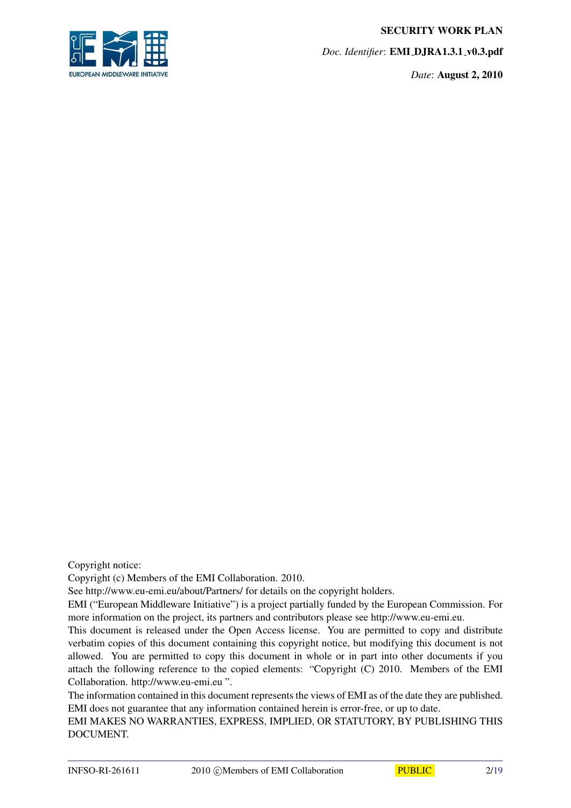SECURITY WORK PLAN

**IROPEAN MIDDLEWARE INITIAT** 

*Doc. Identifier*: EMI DJRA1.3.1 v0.3.pdf

*Date*: August 2, 2010

Copyright notice:

Copyright (c) Members of the EMI Collaboration. 2010.

See http://www.eu-emi.eu/about/Partners/ for details on the copyright holders.

EMI ("European Middleware Initiative") is a project partially funded by the European Commission. For more information on the project, its partners and contributors please see http://www.eu-emi.eu.

This document is released under the Open Access license. You are permitted to copy and distribute verbatim copies of this document containing this copyright notice, but modifying this document is not allowed. You are permitted to copy this document in whole or in part into other documents if you attach the following reference to the copied elements: "Copyright (C) 2010. Members of the EMI Collaboration. http://www.eu-emi.eu ".

The information contained in this document represents the views of EMI as of the date they are published. EMI does not guarantee that any information contained herein is error-free, or up to date.

EMI MAKES NO WARRANTIES, EXPRESS, IMPLIED, OR STATUTORY, BY PUBLISHING THIS DOCUMENT.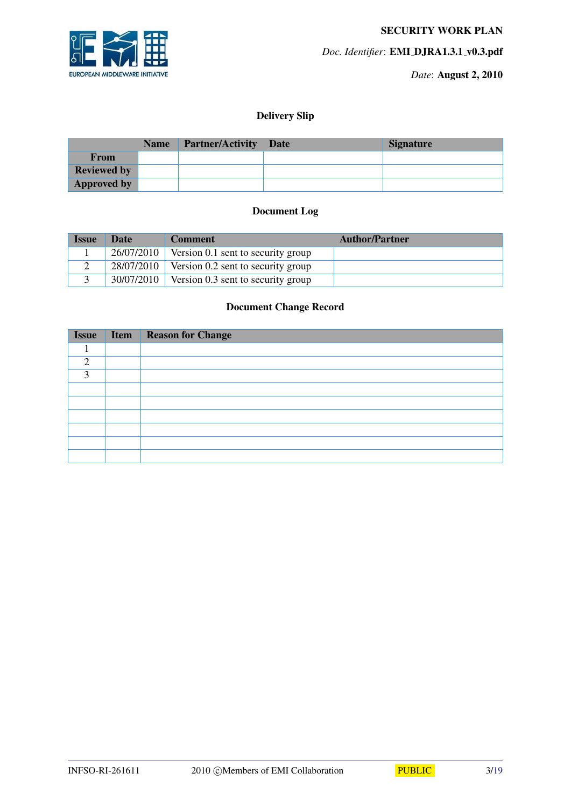

*Date*: August 2, 2010

### Delivery Slip

|                    | Name Partner/Activity Date | <b>Signature</b> |
|--------------------|----------------------------|------------------|
| From               |                            |                  |
| <b>Reviewed by</b> |                            |                  |
| <b>Approved by</b> |                            |                  |

### Document Log

| <b>Issue</b> | <b>Date</b> | <b>Comment</b>                                  | <b>Author/Partner</b> |
|--------------|-------------|-------------------------------------------------|-----------------------|
|              |             | $26/07/2010$ Version 0.1 sent to security group |                       |
| ∠            |             | $28/07/2010$ Version 0.2 sent to security group |                       |
|              |             | $30/07/2010$ Version 0.3 sent to security group |                       |

### Document Change Record

| <b>Issue</b> | <b>Item Reason for Change</b> |
|--------------|-------------------------------|
|              |                               |
| ി            |                               |
| 3            |                               |
|              |                               |
|              |                               |
|              |                               |
|              |                               |
|              |                               |
|              |                               |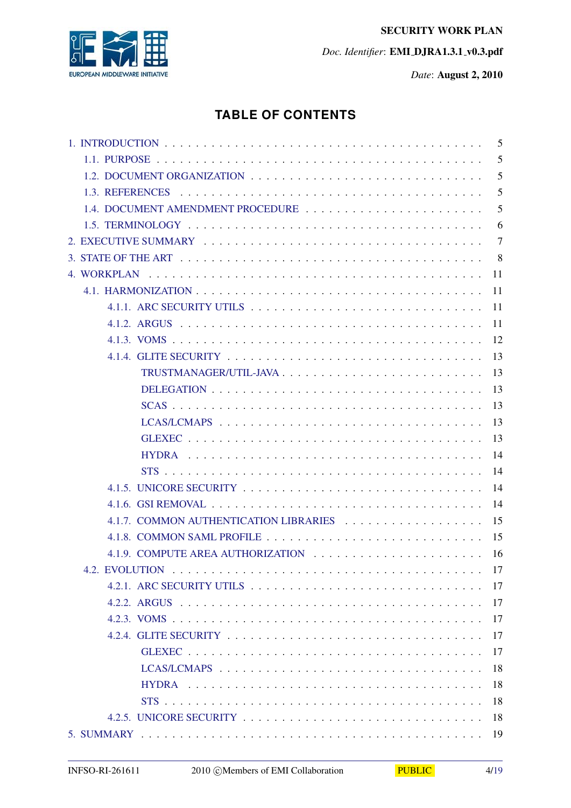

# **TABLE OF CONTENTS**

|                                   | 5              |
|-----------------------------------|----------------|
|                                   | 5              |
|                                   | 5              |
|                                   | 5              |
| 1.4. DOCUMENT AMENDMENT PROCEDURE | 5              |
|                                   | 6              |
|                                   | $\overline{7}$ |
| 8                                 |                |
| 11                                |                |
| -11                               |                |
| -11                               |                |
| 11                                |                |
| 12                                |                |
| 13                                |                |
| 13                                |                |
| 13                                |                |
| 13                                |                |
| 13                                |                |
| 13                                |                |
| 14                                |                |
| 14                                |                |
|                                   | 14             |
|                                   | 14             |
| 15                                |                |
|                                   |                |
|                                   |                |
|                                   |                |
|                                   | 17             |
|                                   | 17             |
|                                   | 17             |
|                                   | 17             |
|                                   | 17             |
|                                   | 18             |
|                                   | 18             |
|                                   | 18             |
|                                   | 18             |
|                                   | 19             |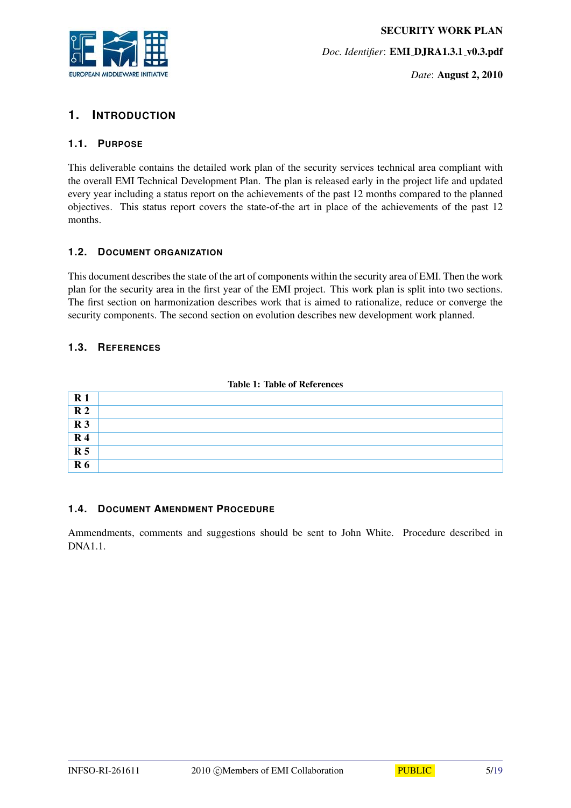

*Date*: August 2, 2010

# <span id="page-4-0"></span>**1. INTRODUCTION**

#### <span id="page-4-1"></span>**1.1. PURPOSE**

This deliverable contains the detailed work plan of the security services technical area compliant with the overall EMI Technical Development Plan. The plan is released early in the project life and updated every year including a status report on the achievements of the past 12 months compared to the planned objectives. This status report covers the state-of-the art in place of the achievements of the past 12 months.

#### <span id="page-4-2"></span>**1.2. DOCUMENT ORGANIZATION**

This document describes the state of the art of components within the security area of EMI. Then the work plan for the security area in the first year of the EMI project. This work plan is split into two sections. The first section on harmonization describes work that is aimed to rationalize, reduce or converge the security components. The second section on evolution describes new development work planned.

#### <span id="page-4-3"></span>**1.3. REFERENCES**

| $\mathbf{R}1$  |  |
|----------------|--|
| R <sub>2</sub> |  |
| R <sub>3</sub> |  |
| $\mathbf{R}$ 4 |  |
| R <sub>5</sub> |  |
| R <sub>6</sub> |  |

#### Table 1: Table of References

#### <span id="page-4-4"></span>**1.4. DOCUMENT AMENDMENT PROCEDURE**

Ammendments, comments and suggestions should be sent to John White. Procedure described in DNA1.1.

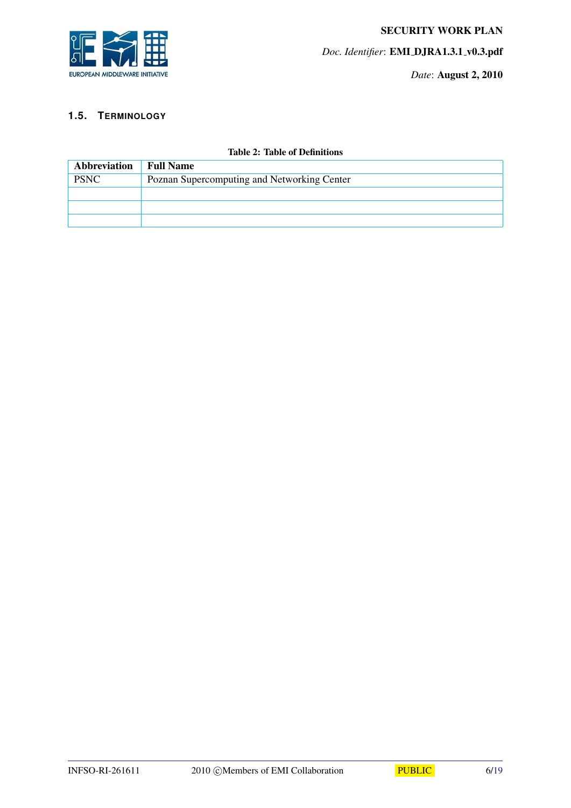

#### <span id="page-5-0"></span>**1.5. TERMINOLOGY**

| Abbreviation | <b>Full Name</b>                            |
|--------------|---------------------------------------------|
| <b>PSNC</b>  | Poznan Supercomputing and Networking Center |
|              |                                             |
|              |                                             |
|              |                                             |

#### Table 2: Table of Definitions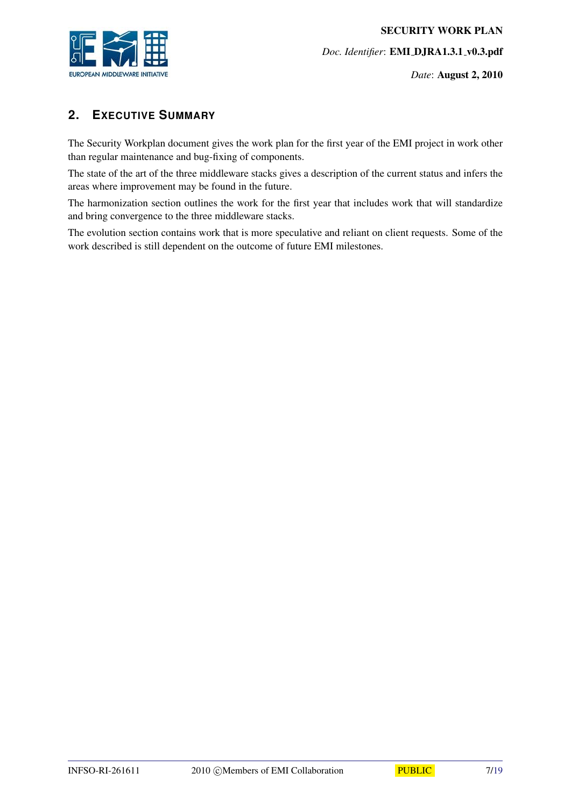

*Date*: August 2, 2010

# <span id="page-6-0"></span>**2. EXECUTIVE SUMMARY**

The Security Workplan document gives the work plan for the first year of the EMI project in work other than regular maintenance and bug-fixing of components.

The state of the art of the three middleware stacks gives a description of the current status and infers the areas where improvement may be found in the future.

The harmonization section outlines the work for the first year that includes work that will standardize and bring convergence to the three middleware stacks.

The evolution section contains work that is more speculative and reliant on client requests. Some of the work described is still dependent on the outcome of future EMI milestones.

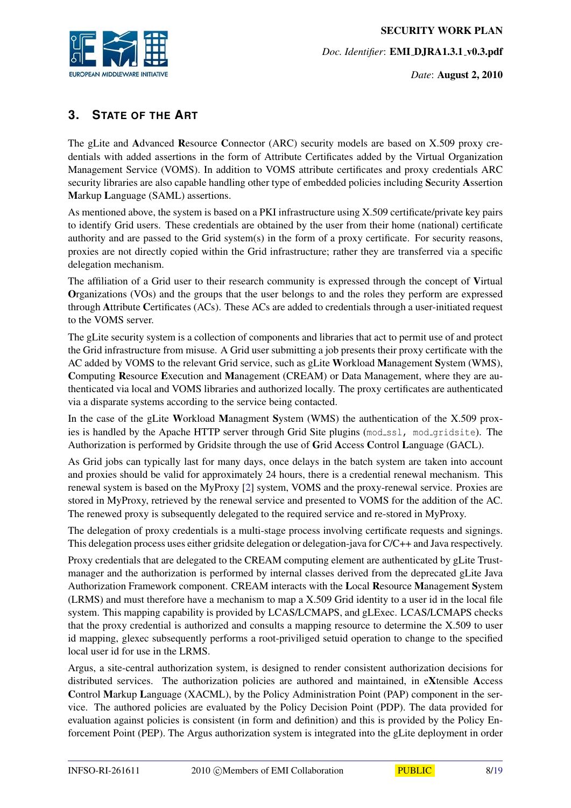

*Date*: August 2, 2010

# <span id="page-7-0"></span>**3. STATE OF THE ART**

The gLite and Advanced Resource Connector (ARC) security models are based on X.509 proxy credentials with added assertions in the form of Attribute Certificates added by the Virtual Organization Management Service (VOMS). In addition to VOMS attribute certificates and proxy credentials ARC security libraries are also capable handling other type of embedded policies including Security Assertion Markup Language (SAML) assertions.

As mentioned above, the system is based on a PKI infrastructure using X.509 certificate/private key pairs to identify Grid users. These credentials are obtained by the user from their home (national) certificate authority and are passed to the Grid system(s) in the form of a proxy certificate. For security reasons, proxies are not directly copied within the Grid infrastructure; rather they are transferred via a specific delegation mechanism.

The affiliation of a Grid user to their research community is expressed through the concept of Virtual Organizations (VOs) and the groups that the user belongs to and the roles they perform are expressed through Attribute Certificates (ACs). These ACs are added to credentials through a user-initiated request to the VOMS server.

The gLite security system is a collection of components and libraries that act to permit use of and protect the Grid infrastructure from misuse. A Grid user submitting a job presents their proxy certificate with the AC added by VOMS to the relevant Grid service, such as gLite Workload Management System (WMS), Computing Resource Execution and Management (CREAM) or Data Management, where they are authenticated via local and VOMS libraries and authorized locally. The proxy certificates are authenticated via a disparate systems according to the service being contacted.

In the case of the gLite Workload Managment System (WMS) the authentication of the X.509 proxies is handled by the Apache HTTP server through Grid Site plugins (mod\_ssl, mod\_gridsite). The Authorization is performed by Gridsite through the use of Grid Access Control Language (GACL).

As Grid jobs can typically last for many days, once delays in the batch system are taken into account and proxies should be valid for approximately 24 hours, there is a credential renewal mechanism. This renewal system is based on the MyProxy [\[2\]](#page-18-2) system, VOMS and the proxy-renewal service. Proxies are stored in MyProxy, retrieved by the renewal service and presented to VOMS for the addition of the AC. The renewed proxy is subsequently delegated to the required service and re-stored in MyProxy.

The delegation of proxy credentials is a multi-stage process involving certificate requests and signings. This delegation process uses either gridsite delegation or delegation-java for C/C++ and Java respectively.

Proxy credentials that are delegated to the CREAM computing element are authenticated by gLite Trustmanager and the authorization is performed by internal classes derived from the deprecated gLite Java Authorization Framework component. CREAM interacts with the Local Resource Management System (LRMS) and must therefore have a mechanism to map a X.509 Grid identity to a user id in the local file system. This mapping capability is provided by LCAS/LCMAPS, and gLExec. LCAS/LCMAPS checks that the proxy credential is authorized and consults a mapping resource to determine the X.509 to user id mapping, glexec subsequently performs a root-priviliged setuid operation to change to the specified local user id for use in the LRMS.

Argus, a site-central authorization system, is designed to render consistent authorization decisions for distributed services. The authorization policies are authored and maintained, in eXtensible Access Control Markup Language (XACML), by the Policy Administration Point (PAP) component in the service. The authored policies are evaluated by the Policy Decision Point (PDP). The data provided for evaluation against policies is consistent (in form and definition) and this is provided by the Policy Enforcement Point (PEP). The Argus authorization system is integrated into the gLite deployment in order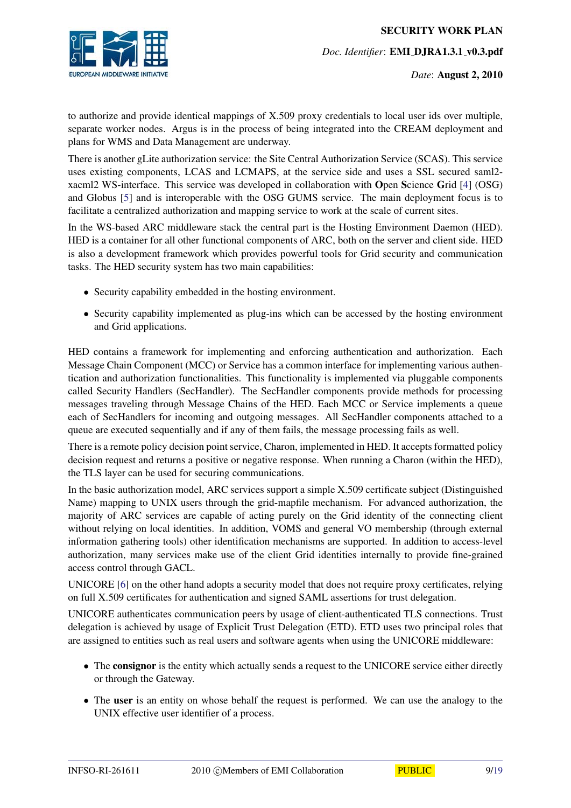

to authorize and provide identical mappings of X.509 proxy credentials to local user ids over multiple, separate worker nodes. Argus is in the process of being integrated into the CREAM deployment and plans for WMS and Data Management are underway.

There is another gLite authorization service: the Site Central Authorization Service (SCAS). This service uses existing components, LCAS and LCMAPS, at the service side and uses a SSL secured saml2 xacml2 WS-interface. This service was developed in collaboration with Open Science Grid [\[4\]](#page-18-3) (OSG) and Globus [\[5\]](#page-18-4) and is interoperable with the OSG GUMS service. The main deployment focus is to facilitate a centralized authorization and mapping service to work at the scale of current sites.

In the WS-based ARC middleware stack the central part is the Hosting Environment Daemon (HED). HED is a container for all other functional components of ARC, both on the server and client side. HED is also a development framework which provides powerful tools for Grid security and communication tasks. The HED security system has two main capabilities:

- Security capability embedded in the hosting environment.
- Security capability implemented as plug-ins which can be accessed by the hosting environment and Grid applications.

HED contains a framework for implementing and enforcing authentication and authorization. Each Message Chain Component (MCC) or Service has a common interface for implementing various authentication and authorization functionalities. This functionality is implemented via pluggable components called Security Handlers (SecHandler). The SecHandler components provide methods for processing messages traveling through Message Chains of the HED. Each MCC or Service implements a queue each of SecHandlers for incoming and outgoing messages. All SecHandler components attached to a queue are executed sequentially and if any of them fails, the message processing fails as well.

There is a remote policy decision point service, Charon, implemented in HED. It accepts formatted policy decision request and returns a positive or negative response. When running a Charon (within the HED), the TLS layer can be used for securing communications.

In the basic authorization model, ARC services support a simple X.509 certificate subject (Distinguished Name) mapping to UNIX users through the grid-mapfile mechanism. For advanced authorization, the majority of ARC services are capable of acting purely on the Grid identity of the connecting client without relying on local identities. In addition, VOMS and general VO membership (through external information gathering tools) other identification mechanisms are supported. In addition to access-level authorization, many services make use of the client Grid identities internally to provide fine-grained access control through GACL.

UNICORE [\[6\]](#page-18-5) on the other hand adopts a security model that does not require proxy certificates, relying on full X.509 certificates for authentication and signed SAML assertions for trust delegation.

UNICORE authenticates communication peers by usage of client-authenticated TLS connections. Trust delegation is achieved by usage of Explicit Trust Delegation (ETD). ETD uses two principal roles that are assigned to entities such as real users and software agents when using the UNICORE middleware:

- The consignor is the entity which actually sends a request to the UNICORE service either directly or through the Gateway.
- The user is an entity on whose behalf the request is performed. We can use the analogy to the UNIX effective user identifier of a process.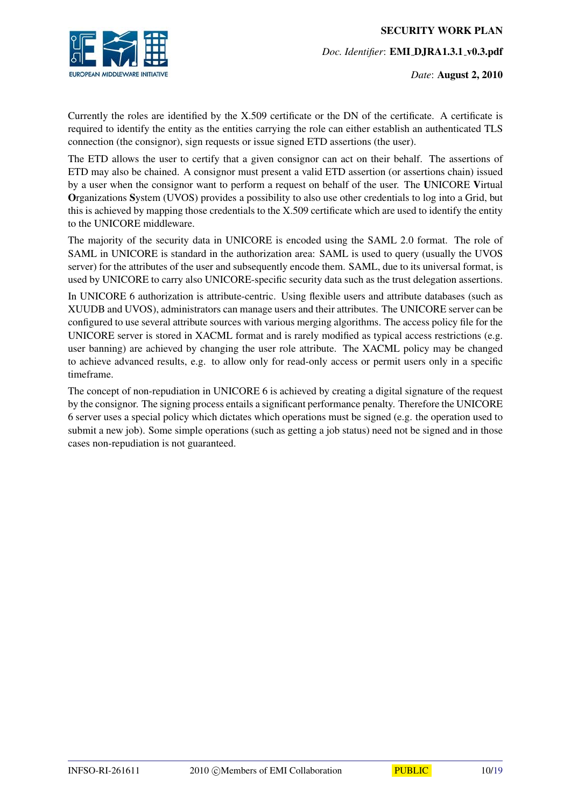

*Date*: August 2, 2010

Currently the roles are identified by the X.509 certificate or the DN of the certificate. A certificate is required to identify the entity as the entities carrying the role can either establish an authenticated TLS connection (the consignor), sign requests or issue signed ETD assertions (the user).

The ETD allows the user to certify that a given consignor can act on their behalf. The assertions of ETD may also be chained. A consignor must present a valid ETD assertion (or assertions chain) issued by a user when the consignor want to perform a request on behalf of the user. The UNICORE Virtual Organizations System (UVOS) provides a possibility to also use other credentials to log into a Grid, but this is achieved by mapping those credentials to the X.509 certificate which are used to identify the entity to the UNICORE middleware.

The majority of the security data in UNICORE is encoded using the SAML 2.0 format. The role of SAML in UNICORE is standard in the authorization area: SAML is used to query (usually the UVOS server) for the attributes of the user and subsequently encode them. SAML, due to its universal format, is used by UNICORE to carry also UNICORE-specific security data such as the trust delegation assertions.

In UNICORE 6 authorization is attribute-centric. Using flexible users and attribute databases (such as XUUDB and UVOS), administrators can manage users and their attributes. The UNICORE server can be configured to use several attribute sources with various merging algorithms. The access policy file for the UNICORE server is stored in XACML format and is rarely modified as typical access restrictions (e.g. user banning) are achieved by changing the user role attribute. The XACML policy may be changed to achieve advanced results, e.g. to allow only for read-only access or permit users only in a specific timeframe.

The concept of non-repudiation in UNICORE 6 is achieved by creating a digital signature of the request by the consignor. The signing process entails a significant performance penalty. Therefore the UNICORE 6 server uses a special policy which dictates which operations must be signed (e.g. the operation used to submit a new job). Some simple operations (such as getting a job status) need not be signed and in those cases non-repudiation is not guaranteed.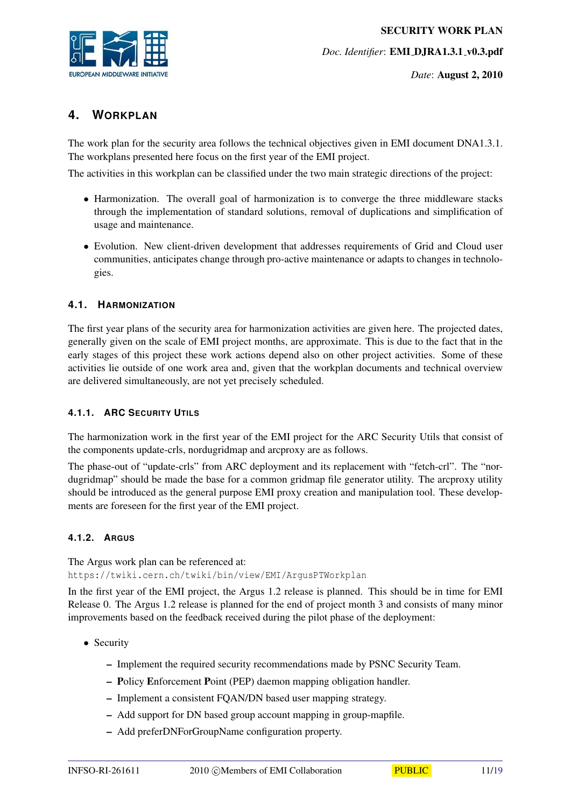

*Date*: August 2, 2010

# <span id="page-10-0"></span>**4. WORKPLAN**

The work plan for the security area follows the technical objectives given in EMI document DNA1.3.1. The workplans presented here focus on the first year of the EMI project.

The activities in this workplan can be classified under the two main strategic directions of the project:

- Harmonization. The overall goal of harmonization is to converge the three middleware stacks through the implementation of standard solutions, removal of duplications and simplification of usage and maintenance.
- Evolution. New client-driven development that addresses requirements of Grid and Cloud user communities, anticipates change through pro-active maintenance or adapts to changes in technologies.

#### <span id="page-10-1"></span>**4.1. HARMONIZATION**

The first year plans of the security area for harmonization activities are given here. The projected dates, generally given on the scale of EMI project months, are approximate. This is due to the fact that in the early stages of this project these work actions depend also on other project activities. Some of these activities lie outside of one work area and, given that the workplan documents and technical overview are delivered simultaneously, are not yet precisely scheduled.

#### <span id="page-10-2"></span>**4.1.1. ARC SECURITY UTILS**

The harmonization work in the first year of the EMI project for the ARC Security Utils that consist of the components update-crls, nordugridmap and arcproxy are as follows.

The phase-out of "update-crls" from ARC deployment and its replacement with "fetch-crl". The "nordugridmap" should be made the base for a common gridmap file generator utility. The arcproxy utility should be introduced as the general purpose EMI proxy creation and manipulation tool. These developments are foreseen for the first year of the EMI project.

#### <span id="page-10-3"></span>**4.1.2. ARGUS**

The Argus work plan can be referenced at: https://twiki.cern.ch/twiki/bin/view/EMI/ArgusPTWorkplan

In the first year of the EMI project, the Argus 1.2 release is planned. This should be in time for EMI Release 0. The Argus 1.2 release is planned for the end of project month 3 and consists of many minor improvements based on the feedback received during the pilot phase of the deployment:

- Security
	- Implement the required security recommendations made by PSNC Security Team.
	- Policy Enforcement Point (PEP) daemon mapping obligation handler.
	- Implement a consistent FQAN/DN based user mapping strategy.
	- Add support for DN based group account mapping in group-mapfile.
	- Add preferDNForGroupName configuration property.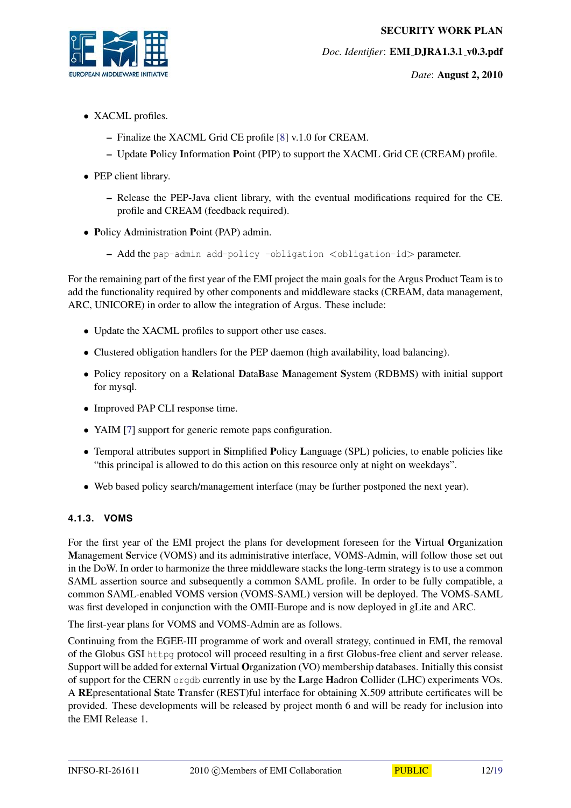

*Date*: August 2, 2010

- XACML profiles.
	- Finalize the XACML Grid CE profile [\[8\]](#page-18-6) v.1.0 for CREAM.
	- Update Policy Information Point (PIP) to support the XACML Grid CE (CREAM) profile.
- PEP client library.
	- Release the PEP-Java client library, with the eventual modifications required for the CE. profile and CREAM (feedback required).
- Policy Administration Point (PAP) admin.
	- Add the pap-admin add-policy -obligation <obligation-id> parameter.

For the remaining part of the first year of the EMI project the main goals for the Argus Product Team is to add the functionality required by other components and middleware stacks (CREAM, data management, ARC, UNICORE) in order to allow the integration of Argus. These include:

- Update the XACML profiles to support other use cases.
- Clustered obligation handlers for the PEP daemon (high availability, load balancing).
- Policy repository on a Relational DataBase Management System (RDBMS) with initial support for mysql.
- Improved PAP CLI response time.
- YAIM [\[7\]](#page-18-7) support for generic remote paps configuration.
- Temporal attributes support in Simplified Policy Language (SPL) policies, to enable policies like "this principal is allowed to do this action on this resource only at night on weekdays".
- Web based policy search/management interface (may be further postponed the next year).

#### <span id="page-11-0"></span>**4.1.3. VOMS**

For the first year of the EMI project the plans for development foreseen for the Virtual Organization Management Service (VOMS) and its administrative interface, VOMS-Admin, will follow those set out in the DoW. In order to harmonize the three middleware stacks the long-term strategy is to use a common SAML assertion source and subsequently a common SAML profile. In order to be fully compatible, a common SAML-enabled VOMS version (VOMS-SAML) version will be deployed. The VOMS-SAML was first developed in conjunction with the OMII-Europe and is now deployed in gLite and ARC.

The first-year plans for VOMS and VOMS-Admin are as follows.

Continuing from the EGEE-III programme of work and overall strategy, continued in EMI, the removal of the Globus GSI httpg protocol will proceed resulting in a first Globus-free client and server release. Support will be added for external Virtual Organization (VO) membership databases. Initially this consist of support for the CERN orgdb currently in use by the Large Hadron Collider (LHC) experiments VOs. A REpresentational State Transfer (REST)ful interface for obtaining X.509 attribute certificates will be provided. These developments will be released by project month 6 and will be ready for inclusion into the EMI Release 1.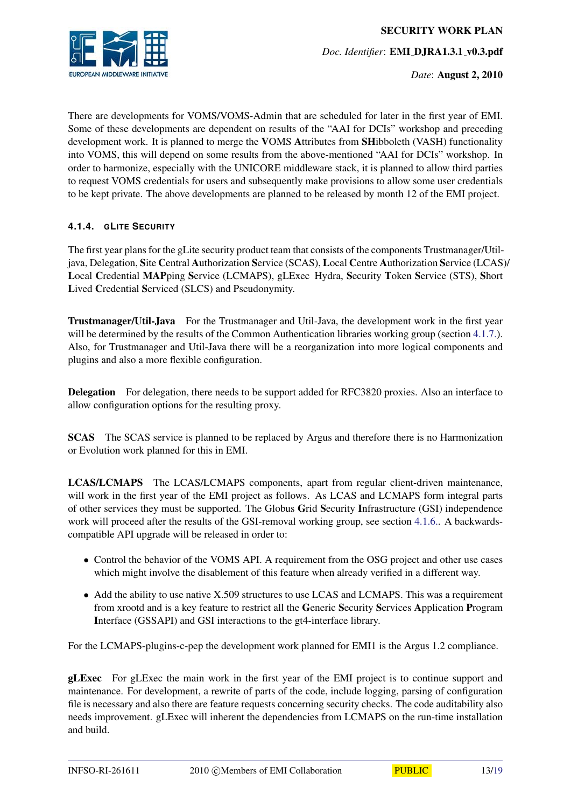

There are developments for VOMS/VOMS-Admin that are scheduled for later in the first year of EMI. Some of these developments are dependent on results of the "AAI for DCIs" workshop and preceding development work. It is planned to merge the VOMS Attributes from SHibboleth (VASH) functionality into VOMS, this will depend on some results from the above-mentioned "AAI for DCIs" workshop. In order to harmonize, especially with the UNICORE middleware stack, it is planned to allow third parties to request VOMS credentials for users and subsequently make provisions to allow some user credentials to be kept private. The above developments are planned to be released by month 12 of the EMI project.

#### <span id="page-12-0"></span>**4.1.4. GLITE SECURITY**

The first year plans for the gLite security product team that consists of the components Trustmanager/Utiljava, Delegation, Site Central Authorization Service (SCAS), Local Centre Authorization Service (LCAS)/ Local Credential MAPping Service (LCMAPS), gLExec Hydra, Security Token Service (STS), Short Lived Credential Serviced (SLCS) and Pseudonymity.

<span id="page-12-1"></span>Trustmanager/Util-Java For the Trustmanager and Util-Java, the development work in the first year will be determined by the results of the Common Authentication libraries working group (section [4.1.7.\)](#page-14-0). Also, for Trustmanager and Util-Java there will be a reorganization into more logical components and plugins and also a more flexible configuration.

Delegation For delegation, there needs to be support added for RFC3820 proxies. Also an interface to allow configuration options for the resulting proxy.

SCAS The SCAS service is planned to be replaced by Argus and therefore there is no Harmonization or Evolution work planned for this in EMI.

LCAS/LCMAPS The LCAS/LCMAPS components, apart from regular client-driven maintenance, will work in the first year of the EMI project as follows. As LCAS and LCMAPS form integral parts of other services they must be supported. The Globus Grid Security Infrastructure (GSI) independence work will proceed after the results of the GSI-removal working group, see section [4.1.6..](#page-13-1) A backwardscompatible API upgrade will be released in order to:

- Control the behavior of the VOMS API. A requirement from the OSG project and other use cases which might involve the disablement of this feature when already verified in a different way.
- Add the ability to use native X.509 structures to use LCAS and LCMAPS. This was a requirement from xrootd and is a key feature to restrict all the Generic Security Services Application Program Interface (GSSAPI) and GSI interactions to the gt4-interface library.

For the LCMAPS-plugins-c-pep the development work planned for EMI1 is the Argus 1.2 compliance.

gLExec For gLExec the main work in the first year of the EMI project is to continue support and maintenance. For development, a rewrite of parts of the code, include logging, parsing of configuration file is necessary and also there are feature requests concerning security checks. The code auditability also needs improvement. gLExec will inherent the dependencies from LCMAPS on the run-time installation and build.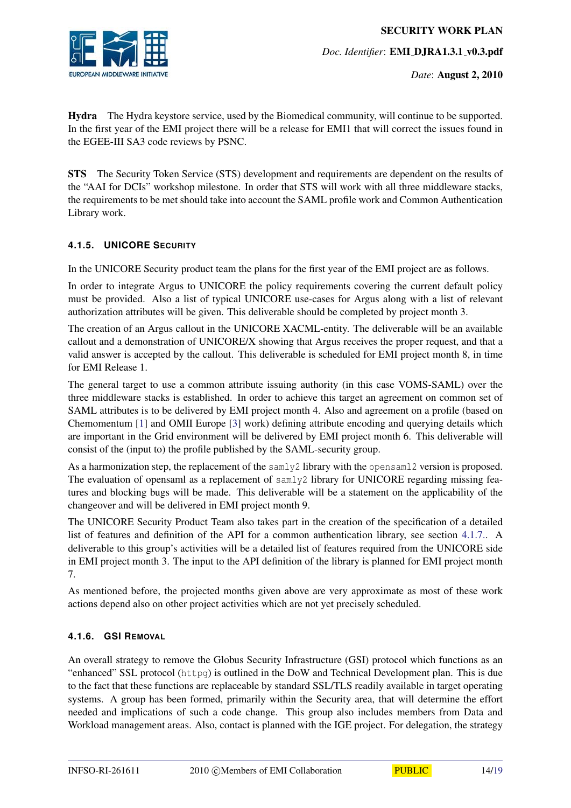

Hydra The Hydra keystore service, used by the Biomedical community, will continue to be supported. In the first year of the EMI project there will be a release for EMI1 that will correct the issues found in the EGEE-III SA3 code reviews by PSNC.

STS The Security Token Service (STS) development and requirements are dependent on the results of the "AAI for DCIs" workshop milestone. In order that STS will work with all three middleware stacks, the requirements to be met should take into account the SAML profile work and Common Authentication Library work.

#### <span id="page-13-0"></span>**4.1.5. UNICORE SECURITY**

In the UNICORE Security product team the plans for the first year of the EMI project are as follows.

In order to integrate Argus to UNICORE the policy requirements covering the current default policy must be provided. Also a list of typical UNICORE use-cases for Argus along with a list of relevant authorization attributes will be given. This deliverable should be completed by project month 3.

The creation of an Argus callout in the UNICORE XACML-entity. The deliverable will be an available callout and a demonstration of UNICORE/X showing that Argus receives the proper request, and that a valid answer is accepted by the callout. This deliverable is scheduled for EMI project month 8, in time for EMI Release 1.

The general target to use a common attribute issuing authority (in this case VOMS-SAML) over the three middleware stacks is established. In order to achieve this target an agreement on common set of SAML attributes is to be delivered by EMI project month 4. Also and agreement on a profile (based on Chemomentum [\[1\]](#page-18-8) and OMII Europe [\[3\]](#page-18-9) work) defining attribute encoding and querying details which are important in the Grid environment will be delivered by EMI project month 6. This deliverable will consist of the (input to) the profile published by the SAML-security group.

As a harmonization step, the replacement of the samly2 library with the opensaml2 version is proposed. The evaluation of opensaml as a replacement of samly2 library for UNICORE regarding missing features and blocking bugs will be made. This deliverable will be a statement on the applicability of the changeover and will be delivered in EMI project month 9.

The UNICORE Security Product Team also takes part in the creation of the specification of a detailed list of features and definition of the API for a common authentication library, see section [4.1.7..](#page-14-0) A deliverable to this group's activities will be a detailed list of features required from the UNICORE side in EMI project month 3. The input to the API definition of the library is planned for EMI project month 7.

As mentioned before, the projected months given above are very approximate as most of these work actions depend also on other project activities which are not yet precisely scheduled.

#### <span id="page-13-1"></span>**4.1.6. GSI REMOVAL**

An overall strategy to remove the Globus Security Infrastructure (GSI) protocol which functions as an "enhanced" SSL protocol (httpg) is outlined in the DoW and Technical Development plan. This is due to the fact that these functions are replaceable by standard SSL/TLS readily available in target operating systems. A group has been formed, primarily within the Security area, that will determine the effort needed and implications of such a code change. This group also includes members from Data and Workload management areas. Also, contact is planned with the IGE project. For delegation, the strategy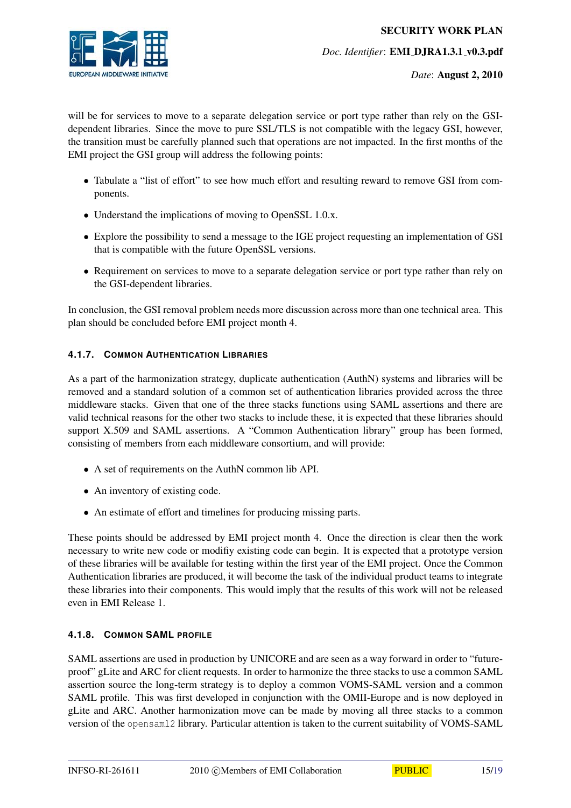*Date*: August 2, 2010

will be for services to move to a separate delegation service or port type rather than rely on the GSIdependent libraries. Since the move to pure SSL/TLS is not compatible with the legacy GSI, however, the transition must be carefully planned such that operations are not impacted. In the first months of the EMI project the GSI group will address the following points:

- Tabulate a "list of effort" to see how much effort and resulting reward to remove GSI from components.
- Understand the implications of moving to OpenSSL 1.0.x.
- Explore the possibility to send a message to the IGE project requesting an implementation of GSI that is compatible with the future OpenSSL versions.
- Requirement on services to move to a separate delegation service or port type rather than rely on the GSI-dependent libraries.

In conclusion, the GSI removal problem needs more discussion across more than one technical area. This plan should be concluded before EMI project month 4.

#### <span id="page-14-0"></span>**4.1.7. COMMON AUTHENTICATION LIBRARIES**

As a part of the harmonization strategy, duplicate authentication (AuthN) systems and libraries will be removed and a standard solution of a common set of authentication libraries provided across the three middleware stacks. Given that one of the three stacks functions using SAML assertions and there are valid technical reasons for the other two stacks to include these, it is expected that these libraries should support X.509 and SAML assertions. A "Common Authentication library" group has been formed, consisting of members from each middleware consortium, and will provide:

- A set of requirements on the AuthN common lib API.
- An inventory of existing code.
- An estimate of effort and timelines for producing missing parts.

These points should be addressed by EMI project month 4. Once the direction is clear then the work necessary to write new code or modifiy existing code can begin. It is expected that a prototype version of these libraries will be available for testing within the first year of the EMI project. Once the Common Authentication libraries are produced, it will become the task of the individual product teams to integrate these libraries into their components. This would imply that the results of this work will not be released even in EMI Release 1.

#### <span id="page-14-1"></span>**4.1.8. COMMON SAML PROFILE**

SAML assertions are used in production by UNICORE and are seen as a way forward in order to "futureproof" gLite and ARC for client requests. In order to harmonize the three stacks to use a common SAML assertion source the long-term strategy is to deploy a common VOMS-SAML version and a common SAML profile. This was first developed in conjunction with the OMII-Europe and is now deployed in gLite and ARC. Another harmonization move can be made by moving all three stacks to a common version of the opensaml2 library. Particular attention is taken to the current suitability of VOMS-SAML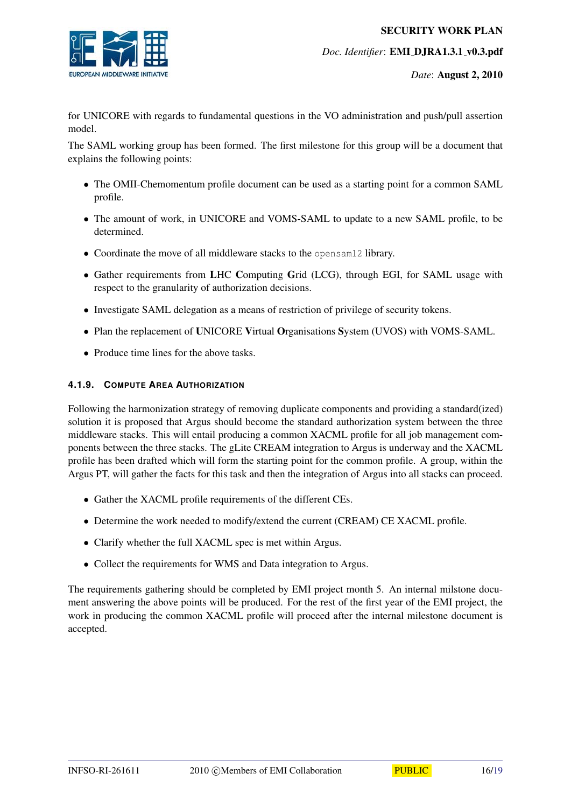

*Date*: August 2, 2010

for UNICORE with regards to fundamental questions in the VO administration and push/pull assertion model.

The SAML working group has been formed. The first milestone for this group will be a document that explains the following points:

- The OMII-Chemomentum profile document can be used as a starting point for a common SAML profile.
- The amount of work, in UNICORE and VOMS-SAML to update to a new SAML profile, to be determined.
- Coordinate the move of all middleware stacks to the opensaml2 library.
- Gather requirements from LHC Computing Grid (LCG), through EGI, for SAML usage with respect to the granularity of authorization decisions.
- Investigate SAML delegation as a means of restriction of privilege of security tokens.
- Plan the replacement of UNICORE Virtual Organisations System (UVOS) with VOMS-SAML.
- Produce time lines for the above tasks.

#### <span id="page-15-0"></span>**4.1.9. COMPUTE AREA AUTHORIZATION**

Following the harmonization strategy of removing duplicate components and providing a standard(ized) solution it is proposed that Argus should become the standard authorization system between the three middleware stacks. This will entail producing a common XACML profile for all job management components between the three stacks. The gLite CREAM integration to Argus is underway and the XACML profile has been drafted which will form the starting point for the common profile. A group, within the Argus PT, will gather the facts for this task and then the integration of Argus into all stacks can proceed.

- Gather the XACML profile requirements of the different CEs.
- Determine the work needed to modify/extend the current (CREAM) CE XACML profile.
- Clarify whether the full XACML spec is met within Argus.
- Collect the requirements for WMS and Data integration to Argus.

The requirements gathering should be completed by EMI project month 5. An internal milstone document answering the above points will be produced. For the rest of the first year of the EMI project, the work in producing the common XACML profile will proceed after the internal milestone document is accepted.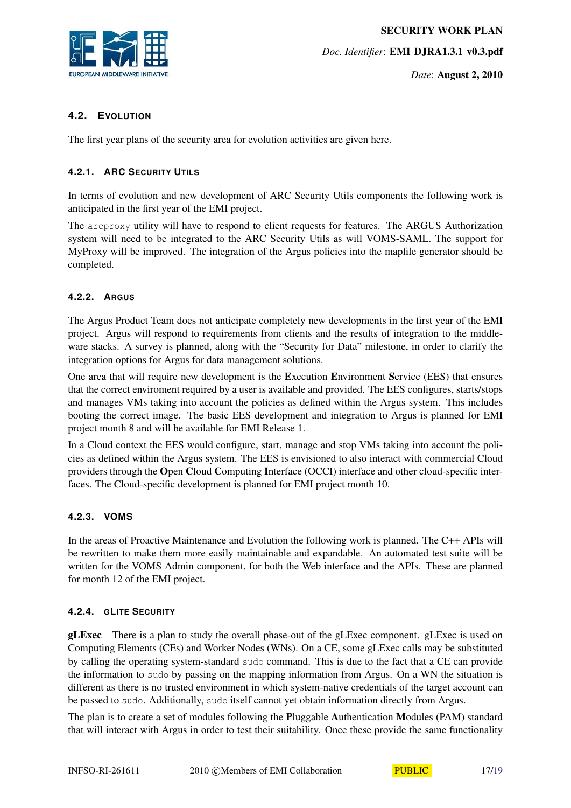

*Date*: August 2, 2010

#### <span id="page-16-0"></span>**4.2. EVOLUTION**

The first year plans of the security area for evolution activities are given here.

#### <span id="page-16-1"></span>**4.2.1. ARC SECURITY UTILS**

In terms of evolution and new development of ARC Security Utils components the following work is anticipated in the first year of the EMI project.

The arcproxy utility will have to respond to client requests for features. The ARGUS Authorization system will need to be integrated to the ARC Security Utils as will VOMS-SAML. The support for MyProxy will be improved. The integration of the Argus policies into the mapfile generator should be completed.

#### <span id="page-16-2"></span>**4.2.2. ARGUS**

The Argus Product Team does not anticipate completely new developments in the first year of the EMI project. Argus will respond to requirements from clients and the results of integration to the middleware stacks. A survey is planned, along with the "Security for Data" milestone, in order to clarify the integration options for Argus for data management solutions.

One area that will require new development is the Execution Environment Service (EES) that ensures that the correct enviroment required by a user is available and provided. The EES configures, starts/stops and manages VMs taking into account the policies as defined within the Argus system. This includes booting the correct image. The basic EES development and integration to Argus is planned for EMI project month 8 and will be available for EMI Release 1.

In a Cloud context the EES would configure, start, manage and stop VMs taking into account the policies as defined within the Argus system. The EES is envisioned to also interact with commercial Cloud providers through the Open Cloud Computing Interface (OCCI) interface and other cloud-specific interfaces. The Cloud-specific development is planned for EMI project month 10.

#### <span id="page-16-3"></span>**4.2.3. VOMS**

In the areas of Proactive Maintenance and Evolution the following work is planned. The C++ APIs will be rewritten to make them more easily maintainable and expandable. An automated test suite will be written for the VOMS Admin component, for both the Web interface and the APIs. These are planned for month 12 of the EMI project.

#### <span id="page-16-4"></span>**4.2.4. GLITE SECURITY**

<span id="page-16-5"></span>gLExec There is a plan to study the overall phase-out of the gLExec component. gLExec is used on Computing Elements (CEs) and Worker Nodes (WNs). On a CE, some gLExec calls may be substituted by calling the operating system-standard sudo command. This is due to the fact that a CE can provide the information to sudo by passing on the mapping information from Argus. On a WN the situation is different as there is no trusted environment in which system-native credentials of the target account can be passed to sudo. Additionally, sudo itself cannot yet obtain information directly from Argus.

The plan is to create a set of modules following the Pluggable Authentication Modules (PAM) standard that will interact with Argus in order to test their suitability. Once these provide the same functionality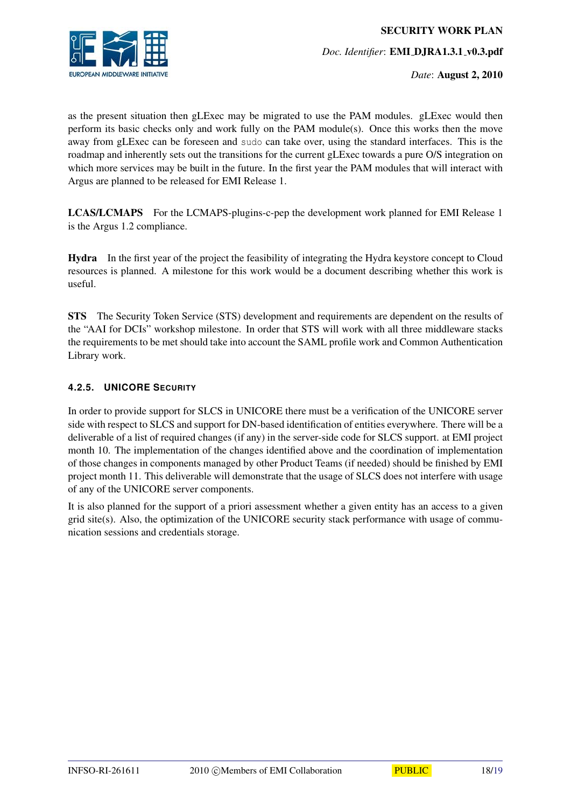

as the present situation then gLExec may be migrated to use the PAM modules. gLExec would then perform its basic checks only and work fully on the PAM module(s). Once this works then the move away from gLExec can be foreseen and sudo can take over, using the standard interfaces. This is the roadmap and inherently sets out the transitions for the current gLExec towards a pure O/S integration on which more services may be built in the future. In the first year the PAM modules that will interact with Argus are planned to be released for EMI Release 1.

LCAS/LCMAPS For the LCMAPS-plugins-c-pep the development work planned for EMI Release 1 is the Argus 1.2 compliance.

Hydra In the first year of the project the feasibility of integrating the Hydra keystore concept to Cloud resources is planned. A milestone for this work would be a document describing whether this work is useful.

STS The Security Token Service (STS) development and requirements are dependent on the results of the "AAI for DCIs" workshop milestone. In order that STS will work with all three middleware stacks the requirements to be met should take into account the SAML profile work and Common Authentication Library work.

#### <span id="page-17-0"></span>**4.2.5. UNICORE SECURITY**

In order to provide support for SLCS in UNICORE there must be a verification of the UNICORE server side with respect to SLCS and support for DN-based identification of entities everywhere. There will be a deliverable of a list of required changes (if any) in the server-side code for SLCS support. at EMI project month 10. The implementation of the changes identified above and the coordination of implementation of those changes in components managed by other Product Teams (if needed) should be finished by EMI project month 11. This deliverable will demonstrate that the usage of SLCS does not interfere with usage of any of the UNICORE server components.

It is also planned for the support of a priori assessment whether a given entity has an access to a given grid site(s). Also, the optimization of the UNICORE security stack performance with usage of communication sessions and credentials storage.